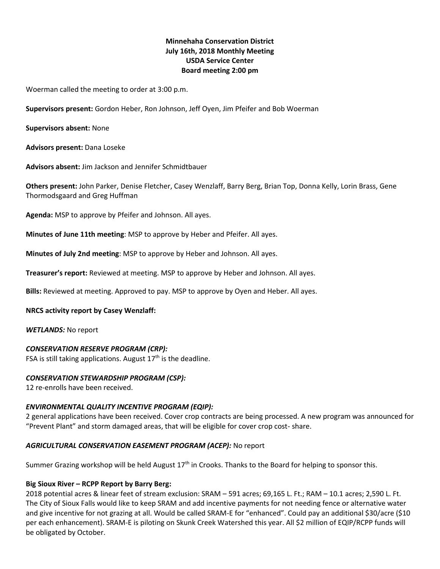# **Minnehaha Conservation District July 16th, 2018 Monthly Meeting USDA Service Center Board meeting 2:00 pm**

Woerman called the meeting to order at 3:00 p.m.

**Supervisors present:** Gordon Heber, Ron Johnson, Jeff Oyen, Jim Pfeifer and Bob Woerman

**Supervisors absent:** None

**Advisors present:** Dana Loseke

**Advisors absent:** Jim Jackson and Jennifer Schmidtbauer

**Others present:** John Parker, Denise Fletcher, Casey Wenzlaff, Barry Berg, Brian Top, Donna Kelly, Lorin Brass, Gene Thormodsgaard and Greg Huffman

**Agenda:** MSP to approve by Pfeifer and Johnson. All ayes.

**Minutes of June 11th meeting**: MSP to approve by Heber and Pfeifer. All ayes.

**Minutes of July 2nd meeting**: MSP to approve by Heber and Johnson. All ayes.

**Treasurer's report:** Reviewed at meeting. MSP to approve by Heber and Johnson. All ayes.

**Bills:** Reviewed at meeting. Approved to pay. MSP to approve by Oyen and Heber. All ayes.

#### **NRCS activity report by Casey Wenzlaff:**

*WETLANDS:* No report

#### *CONSERVATION RESERVE PROGRAM (CRP):*

FSA is still taking applications. August  $17<sup>th</sup>$  is the deadline.

## *CONSERVATION STEWARDSHIP PROGRAM (CSP):*

12 re-enrolls have been received.

## *ENVIRONMENTAL QUALITY INCENTIVE PROGRAM (EQIP):*

2 general applications have been received. Cover crop contracts are being processed. A new program was announced for "Prevent Plant" and storm damaged areas, that will be eligible for cover crop cost- share.

## *AGRICULTURAL CONSERVATION EASEMENT PROGRAM (ACEP):* No report

Summer Grazing workshop will be held August  $17<sup>th</sup>$  in Crooks. Thanks to the Board for helping to sponsor this.

# **Big Sioux River – RCPP Report by Barry Berg:**

2018 potential acres & linear feet of stream exclusion: SRAM – 591 acres; 69,165 L. Ft.; RAM – 10.1 acres; 2,590 L. Ft. The City of Sioux Falls would like to keep SRAM and add incentive payments for not needing fence or alternative water and give incentive for not grazing at all. Would be called SRAM-E for "enhanced". Could pay an additional \$30/acre (\$10 per each enhancement). SRAM-E is piloting on Skunk Creek Watershed this year. All \$2 million of EQIP/RCPP funds will be obligated by October.